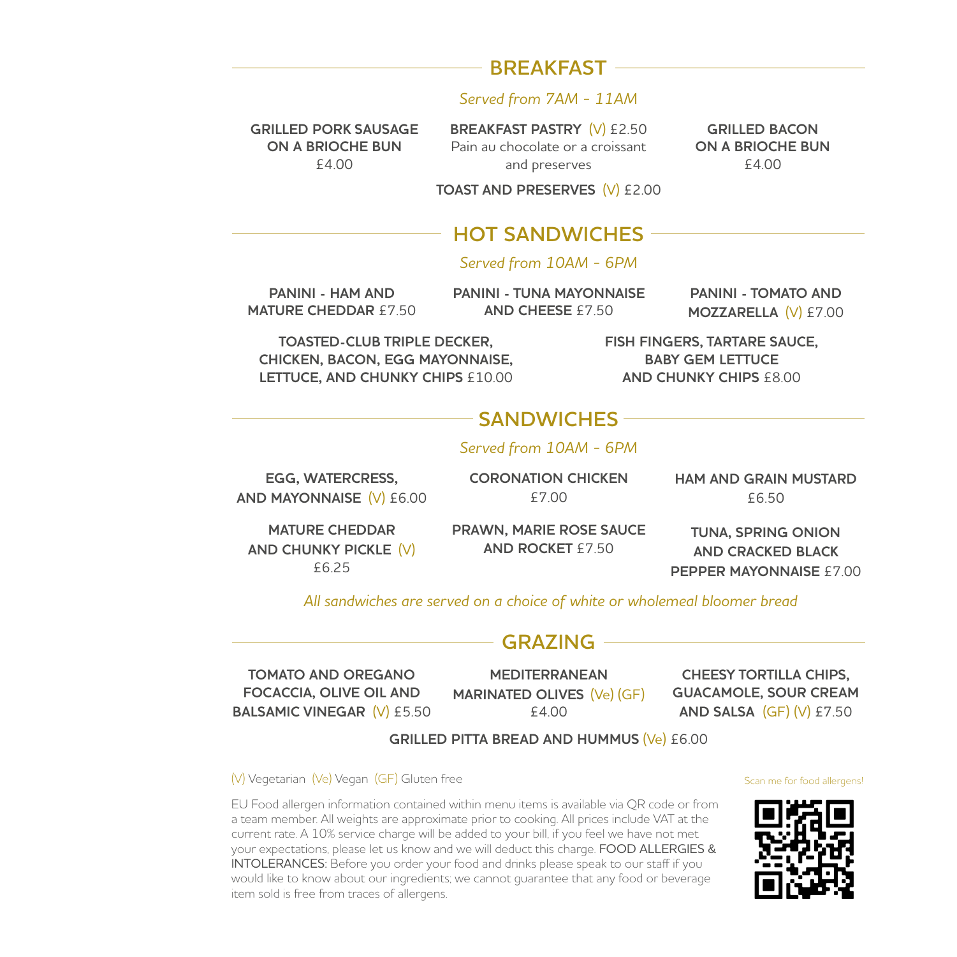# **BREAKFAST** -

#### *Served from 7AM - 11AM*

**GRILLED PORK SAUSAGE ON A BRIOCHE BUN**  £4.00

**BREAKFAST PASTRY** (V) £2.50 Pain au chocolate or a croissant and preserves

**GRILLED BACON ON A BRIOCHE BUN**  £4.00

#### **TOAST AND PRESERVES** (V) £2.00

## **HOT SANDWICHES**

#### *Served from 10AM - 6PM*

**PANINI - HAM AND MATURE CHEDDAR** £7.50 **PANINI - TUNA MAYONNAISE AND CHEESE** £7.50

**PANINI - TOMATO AND MOZZARELLA** (V) £7.00

**TOASTED-CLUB TRIPLE DECKER, CHICKEN, BACON, EGG MAYONNAISE, LETTUCE, AND CHUNKY CHIPS** £10.00 **FISH FINGERS, TARTARE SAUCE, BABY GEM LETTUCE AND CHUNKY CHIPS** £8.00

# **SANDWICHES**

#### *Served from 10AM - 6PM*

**EGG, WATERCRESS, AND MAYONNAISE** (V) £6.00 **CORONATION CHICKEN**  £7.00

**HAM AND GRAIN MUSTARD**  £6.50

**MATURE CHEDDAR AND CHUNKY PICKLE** (V) £6.25

**PRAWN, MARIE ROSE SAUCE AND ROCKET** £7.50

**TUNA, SPRING ONION AND CRACKED BLACK PEPPER MAYONNAISE** £7.00

*All sandwiches are served on a choice of white or wholemeal bloomer bread*

### **GRAZING**

**TOMATO AND OREGANO FOCACCIA, OLIVE OIL AND BALSAMIC VINEGAR** (V) £5.50

**MEDITERRANEAN MARINATED OLIVES** (Ve) (GF) £4.00

**CHEESY TORTILLA CHIPS, GUACAMOLE, SOUR CREAM AND SALSA** (GF) (V) £7.50

**GRILLED PITTA BREAD AND HUMMUS** (Ve) £6.00

(V) Vegetarian (Ve) Vegan (GF) Gluten free

EU Food allergen information contained within menu items is available via QR code or from a team member. All weights are approximate prior to cooking. All prices include VAT at the current rate. A 10% service charge will be added to your bill, if you feel we have not met your expectations, please let us know and we will deduct this charge. FOOD ALLERGIES & INTOLERANCES: Before you order your food and drinks please speak to our staff if you would like to know about our ingredients; we cannot guarantee that any food or beverage item sold is free from traces of allergens.



Scan me for food allergens!